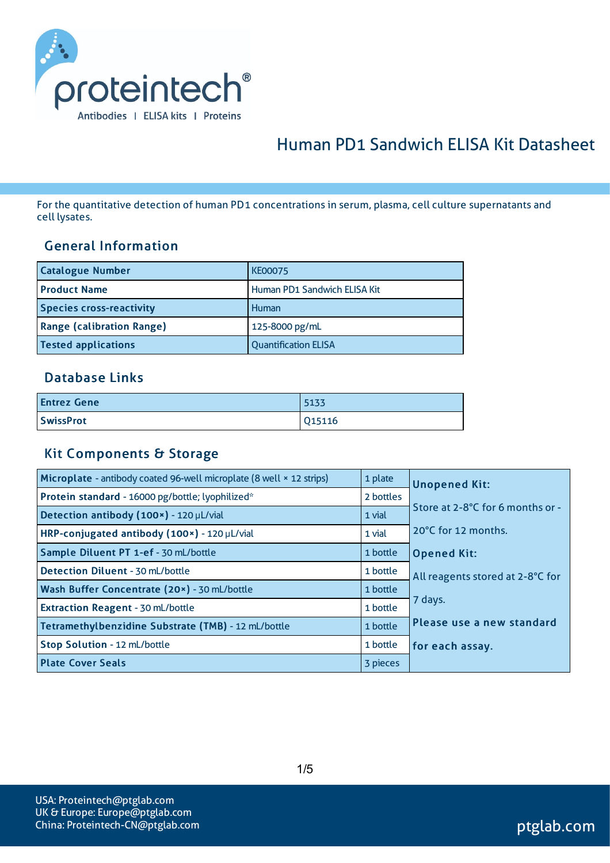

# Human PD1 Sandwich ELISA Kit Datasheet

For the quantitative detection of human PD1 concentrationsin serum, plasma, cell culture supernatants and cell lysates.

#### General Information

| <b>Catalogue Number</b>          | <b>KE00075</b>               |
|----------------------------------|------------------------------|
| <b>Product Name</b>              | Human PD1 Sandwich ELISA Kit |
| <b>Species cross-reactivity</b>  | Human                        |
| <b>Range (calibration Range)</b> | 125-8000 pg/mL               |
| <b>Tested applications</b>       | <b>Quantification ELISA</b>  |

#### Database Links

| <b>Entrez Gene</b> | 5133   |
|--------------------|--------|
| <b>SwissProt</b>   | Q15116 |

#### Kit Components & Storage

| Microplate - antibody coated 96-well microplate (8 well × 12 strips) | 1 plate   | <b>Unopened Kit:</b>             |
|----------------------------------------------------------------------|-----------|----------------------------------|
| Protein standard - 16000 pg/bottle; lyophilized*                     | 2 bottles |                                  |
| Detection antibody (100x) - 120 µL/vial                              | 1 vial    | Store at 2-8°C for 6 months or - |
| HRP-conjugated antibody (100x) - 120 µL/vial                         | 1 vial    | 20°C for 12 months.              |
| Sample Diluent PT 1-ef - 30 mL/bottle                                | 1 bottle  | <b>Opened Kit:</b>               |
| Detection Diluent - 30 mL/bottle                                     | 1 bottle  | All reagents stored at 2-8°C for |
| Wash Buffer Concentrate (20x) - 30 mL/bottle                         | 1 bottle  |                                  |
| Extraction Reagent - 30 mL/bottle                                    | 1 bottle  | 7 days.                          |
| Tetramethylbenzidine Substrate (TMB) - 12 mL/bottle                  | 1 bottle  | Please use a new standard        |
| Stop Solution - 12 mL/bottle                                         | 1 bottle  | for each assay.                  |
| <b>Plate Cover Seals</b>                                             | 3 pieces  |                                  |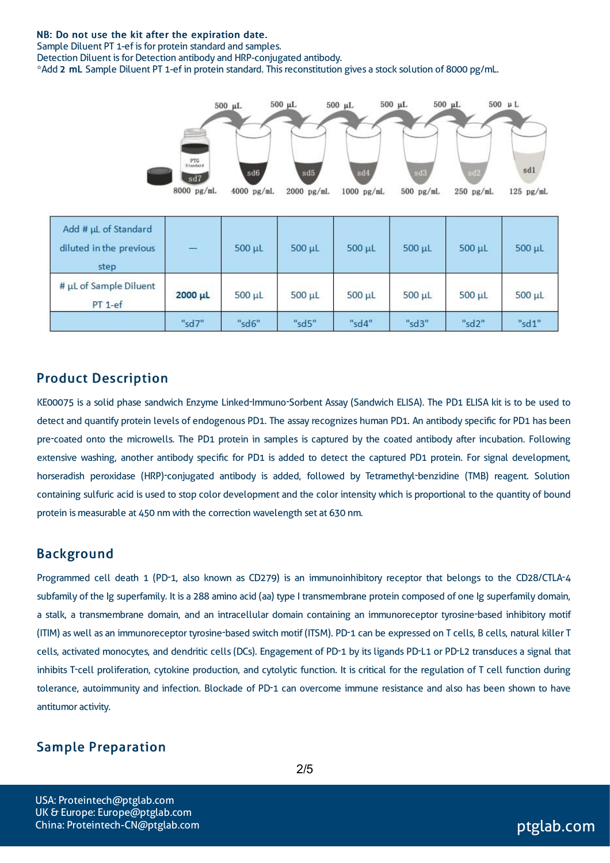#### NB: Do not use the kit after the expiration date.

Sample Diluent PT 1-ef is for protein standard and samples.

Detection Diluent is for Detection antibody and HRP-conjugated antibody.

\*Add 2 mL Sample Diluent PT 1-ef in protein standard. Thisreconstitution gives a stock solution of 8000 pg/mL.



| Add # µL of Standard<br>diluted in the previous<br>step | $\equiv$ | $500 \mu L$ | $500 \mu L$ | $500 \mu L$ | $500 \mu L$ | $500 \mu L$ | 500 µL      |
|---------------------------------------------------------|----------|-------------|-------------|-------------|-------------|-------------|-------------|
| # µL of Sample Diluent<br>$PT 1-ef$                     | 2000 µL  | $500 \mu L$ | $500 \mu L$ | $500 \mu L$ | $500 \mu L$ | $500 \mu L$ | $500 \mu L$ |
|                                                         | "sd7"    | "sd6"       | "sd5"       | "sd4"       | "sd3"       | "sd2"       | "sd1"       |

#### Product Description

KE00075 is a solid phase sandwich Enzyme Linked-Immuno-Sorbent Assay (Sandwich ELISA). The PD1 ELISA kit is to be used to detect and quantify protein levels of endogenous PD1. The assay recognizes human PD1. An antibody specific for PD1 has been pre-coated onto the microwells. The PD1 protein in samples is captured by the coated antibody after incubation. Following extensive washing, another antibody specific for PD1 is added to detect the captured PD1 protein. For signal development, horseradish peroxidase (HRP)-conjugated antibody is added, followed by Tetramethyl-benzidine (TMB) reagent. Solution containing sulfuric acid is used to stop color development and the color intensity which is proportional to the quantity of bound protein is measurable at 450 nm with the correction wavelength set at 630 nm.

#### Background

Programmed cell death 1 (PD-1, also known as CD279) is an immunoinhibitory receptor that belongs to the CD28/CTLA-4 subfamily of the Ig superfamily. It is a 288 amino acid (aa) type I transmembrane protein composed of one Ig superfamily domain, a stalk, a transmembrane domain, and an intracellular domain containing an immunoreceptor tyrosine-based inhibitory motif (ITIM) aswell as an immunoreceptor tyrosine-based switch motif (ITSM). PD-1 can be expressed on T cells, B cells, natural killer T cells, activated monocytes, and dendritic cells (DCs). Engagement of PD-1 by its ligands PD-L1 or PD-L2 transduces a signal that inhibits T-cell proliferation, cytokine production, and cytolytic function. It is critical for the regulation of T cell function during tolerance, autoimmunity and infection. Blockade of PD-1 can overcome immune resistance and also has been shown to have antitumor activity.

#### Sample Preparation

2/5

USA: Proteintech@ptglab.com UK & Europe: Europe@ptglab.com China: Proteintech-CN@ptglab.com and ptglab.com ptglab.com ptglab.com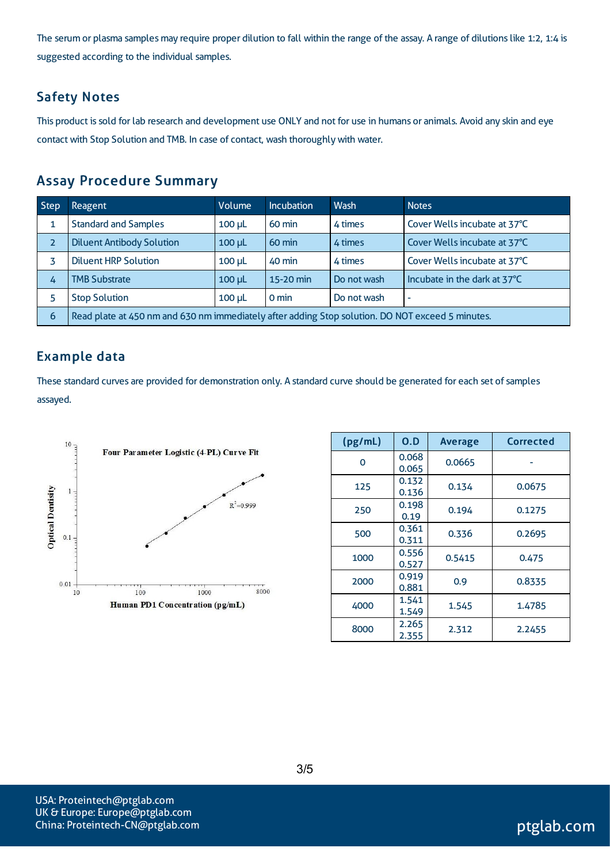The serum or plasma samples may require proper dilution to fall within the range of the assay. A range of dilutions like 1:2, 1:4 is suggested according to the individual samples.

#### Safety Notes

This product is sold for lab research and development use ONLY and not for use in humans or animals. Avoid any skin and eye contact with Stop Solution and TMB. In case of contact, wash thoroughly with water.

### Assay Procedure Summary

| <b>Step</b>    | Reagent                                                                                          | Volume      | <b>Incubation</b> | Wash        | <b>Notes</b>                 |  |
|----------------|--------------------------------------------------------------------------------------------------|-------------|-------------------|-------------|------------------------------|--|
|                | <b>Standard and Samples</b>                                                                      | $100 \mu L$ | 60 min            | 4 times     | Cover Wells incubate at 37°C |  |
| $\overline{z}$ | <b>Diluent Antibody Solution</b>                                                                 | $100$ $\mu$ | $60 \text{ min}$  | 4 times     | Cover Wells incubate at 37°C |  |
| 3              | <b>Diluent HRP Solution</b>                                                                      | $100 \mu L$ | 40 min            | 4 times     | Cover Wells incubate at 37°C |  |
| 4              | <b>TMB Substrate</b>                                                                             | $100$ $\mu$ | 15-20 min         | Do not wash | Incubate in the dark at 37°C |  |
| 5              | <b>Stop Solution</b>                                                                             | $100 \mu L$ | $0 \text{ min}$   | Do not wash | ٠                            |  |
| 6              | Read plate at 450 nm and 630 nm immediately after adding Stop solution. DO NOT exceed 5 minutes. |             |                   |             |                              |  |

#### Example data

These standard curves are provided for demonstration only. A standard curve should be generated for each set of samples assayed.



| (pg/mL) | O.D            | <b>Average</b> | Corrected |
|---------|----------------|----------------|-----------|
| 0       | 0.068<br>0.065 | 0.0665         |           |
| 125     | 0.132<br>0.136 | 0.134          | 0.0675    |
| 250     | 0.198<br>0.19  | 0.194          | 0.1275    |
| 500     | 0.361<br>0.311 | 0.336          | 0.2695    |
| 1000    | 0.556<br>0.527 | 0.5415         | 0.475     |
| 2000    | 0.919<br>0.881 | 0.9            | 0.8335    |
| 4000    | 1.541<br>1.549 | 1.545          | 1.4785    |
| 8000    | 2.265<br>2.355 | 2.312          | 2.2455    |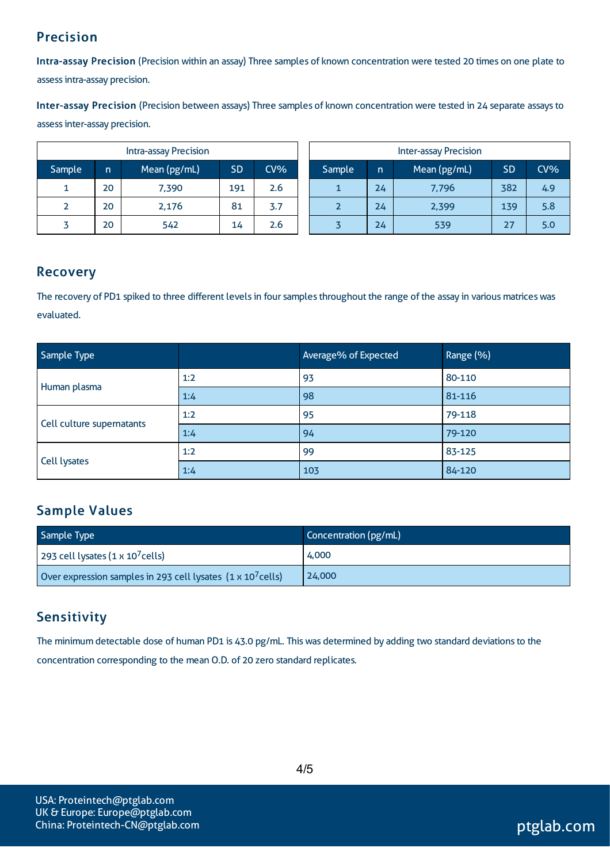### Precision

Intra-assay Precision (Precision within an assay) Three samples of known concentration were tested 20 times on one plate to assessintra-assay precision.

Inter-assay Precision (Precision between assays) Three samples of known concentration were tested in 24 separate assaysto assessinter-assay precision.

|        |    | Intra-assay Precision |           |        | <b>Inter-assay Precision</b> |        |    |              |           |     |
|--------|----|-----------------------|-----------|--------|------------------------------|--------|----|--------------|-----------|-----|
| Sample | n  | Mean (pg/mL)          | <b>SD</b> | $CV\%$ |                              | Sample | n  | Mean (pg/mL) | <b>SD</b> | CV% |
| 1      | 20 | 7,390                 | 191       | 2.6    |                              |        | 24 | 7,796        | 382       | 4.9 |
|        | 20 | 2,176                 | 81        | 3.7    |                              |        | 24 | 2,399        | 139       | 5.8 |
|        | 20 | 542                   | 14        | 2.6    |                              |        | 24 | 539          |           | 5.0 |

#### Recovery

The recovery of PD1 spiked to three different levels in four samples throughout the range of the assay in various matrices was evaluated.

| Sample Type               |     | Average% of Expected | Range (%) |  |
|---------------------------|-----|----------------------|-----------|--|
| Human plasma              | 1:2 | 93                   | 80-110    |  |
|                           | 1:4 | 98                   | 81-116    |  |
|                           | 1:2 | 95                   | 79-118    |  |
| Cell culture supernatants | 1:4 | 94                   | 79-120    |  |
| Cell lysates              | 1:2 | 99                   | 83-125    |  |
|                           | 1:4 | 103                  | 84-120    |  |

### Sample Values

| Sample Type                                                         | Concentration (pg/mL) |
|---------------------------------------------------------------------|-----------------------|
| 293 cell lysates $(1 \times 10^7$ cells)                            | 4,000                 |
| Over expression samples in 293 cell lysates $(1 \times 10^7$ cells) | 24,000                |

### **Sensitivity**

The minimum detectable dose of human PD1 is 43.0 pg/mL. This was determined by adding two standard deviations to the concentration corresponding to the mean O.D. of 20 zero standard replicates.